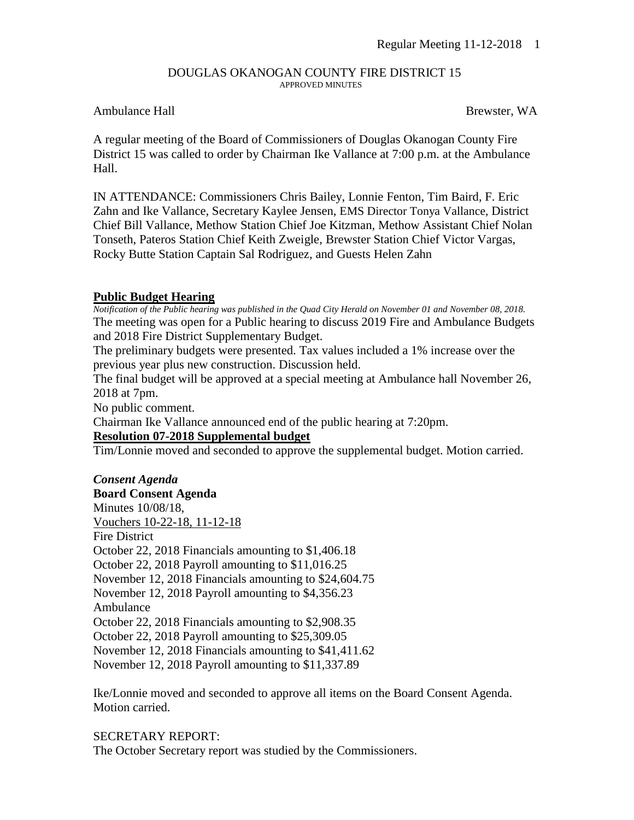#### DOUGLAS OKANOGAN COUNTY FIRE DISTRICT 15 APPROVED MINUTES

## Ambulance Hall **Brewster, WA**

A regular meeting of the Board of Commissioners of Douglas Okanogan County Fire District 15 was called to order by Chairman Ike Vallance at 7:00 p.m. at the Ambulance Hall.

IN ATTENDANCE: Commissioners Chris Bailey, Lonnie Fenton, Tim Baird, F. Eric Zahn and Ike Vallance, Secretary Kaylee Jensen, EMS Director Tonya Vallance, District Chief Bill Vallance, Methow Station Chief Joe Kitzman, Methow Assistant Chief Nolan Tonseth, Pateros Station Chief Keith Zweigle, Brewster Station Chief Victor Vargas, Rocky Butte Station Captain Sal Rodriguez, and Guests Helen Zahn

## **Public Budget Hearing**

*Notification of the Public hearing was published in the Quad City Herald on November 01 and November 08, 2018.* The meeting was open for a Public hearing to discuss 2019 Fire and Ambulance Budgets and 2018 Fire District Supplementary Budget.

The preliminary budgets were presented. Tax values included a 1% increase over the previous year plus new construction. Discussion held.

The final budget will be approved at a special meeting at Ambulance hall November 26, 2018 at 7pm.

No public comment.

Chairman Ike Vallance announced end of the public hearing at 7:20pm.

## **Resolution 07-2018 Supplemental budget**

Tim/Lonnie moved and seconded to approve the supplemental budget. Motion carried.

#### *Consent Agenda*

**Board Consent Agenda** Minutes 10/08/18, Vouchers 10-22-18, 11-12-18 Fire District October 22, 2018 Financials amounting to \$1,406.18 October 22, 2018 Payroll amounting to \$11,016.25 November 12, 2018 Financials amounting to \$24,604.75 November 12, 2018 Payroll amounting to \$4,356.23 Ambulance October 22, 2018 Financials amounting to \$2,908.35 October 22, 2018 Payroll amounting to \$25,309.05 November 12, 2018 Financials amounting to \$41,411.62 November 12, 2018 Payroll amounting to \$11,337.89

Ike/Lonnie moved and seconded to approve all items on the Board Consent Agenda. Motion carried.

SECRETARY REPORT: The October Secretary report was studied by the Commissioners.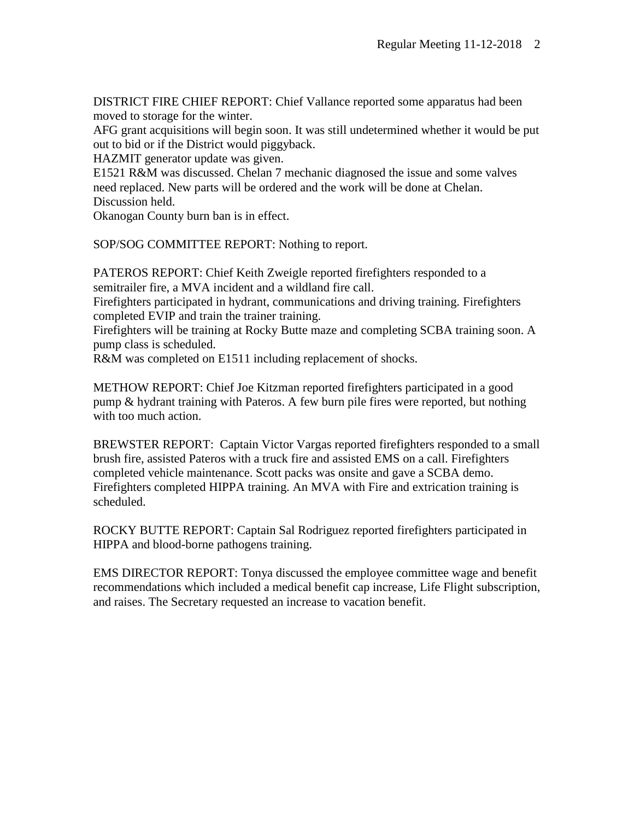DISTRICT FIRE CHIEF REPORT: Chief Vallance reported some apparatus had been moved to storage for the winter.

AFG grant acquisitions will begin soon. It was still undetermined whether it would be put out to bid or if the District would piggyback.

HAZMIT generator update was given.

E1521 R&M was discussed. Chelan 7 mechanic diagnosed the issue and some valves need replaced. New parts will be ordered and the work will be done at Chelan. Discussion held.

Okanogan County burn ban is in effect.

SOP/SOG COMMITTEE REPORT: Nothing to report.

PATEROS REPORT: Chief Keith Zweigle reported firefighters responded to a semitrailer fire, a MVA incident and a wildland fire call.

Firefighters participated in hydrant, communications and driving training. Firefighters completed EVIP and train the trainer training.

Firefighters will be training at Rocky Butte maze and completing SCBA training soon. A pump class is scheduled.

R&M was completed on E1511 including replacement of shocks.

METHOW REPORT: Chief Joe Kitzman reported firefighters participated in a good pump & hydrant training with Pateros. A few burn pile fires were reported, but nothing with too much action.

BREWSTER REPORT: Captain Victor Vargas reported firefighters responded to a small brush fire, assisted Pateros with a truck fire and assisted EMS on a call. Firefighters completed vehicle maintenance. Scott packs was onsite and gave a SCBA demo. Firefighters completed HIPPA training. An MVA with Fire and extrication training is scheduled.

ROCKY BUTTE REPORT: Captain Sal Rodriguez reported firefighters participated in HIPPA and blood-borne pathogens training.

EMS DIRECTOR REPORT: Tonya discussed the employee committee wage and benefit recommendations which included a medical benefit cap increase, Life Flight subscription, and raises. The Secretary requested an increase to vacation benefit.